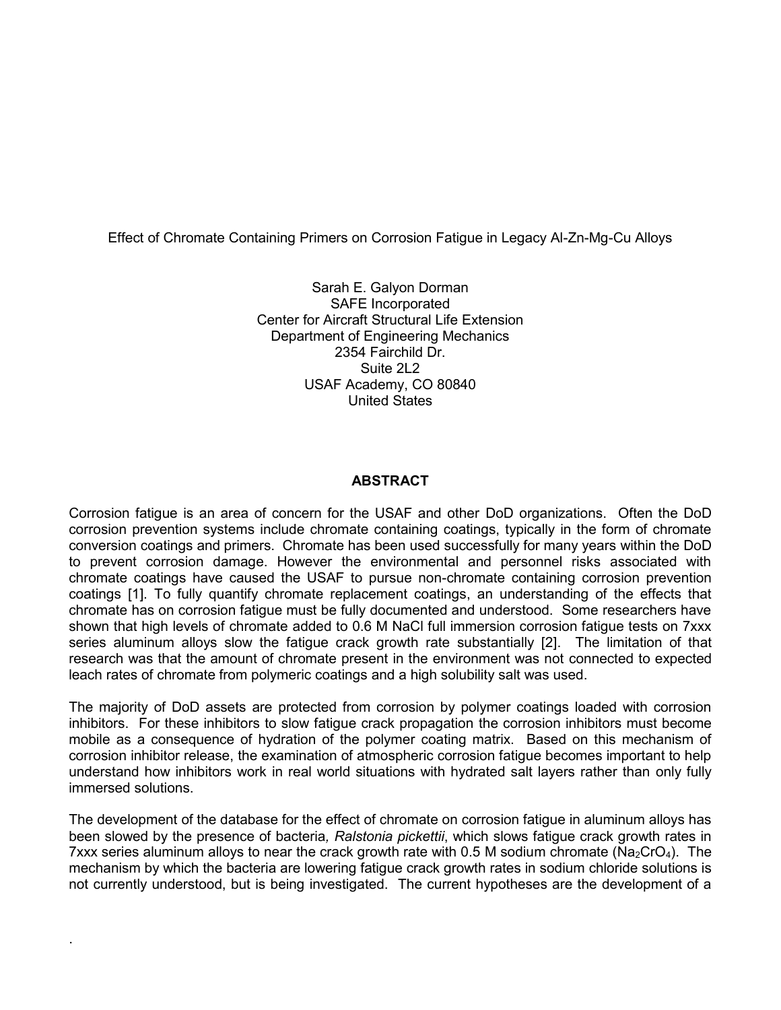## Effect of Chromate Containing Primers on Corrosion Fatigue in Legacy Al-Zn-Mg-Cu Alloys

Sarah E. Galyon Dorman SAFE Incorporated Center for Aircraft Structural Life Extension Department of Engineering Mechanics 2354 Fairchild Dr. Suite 2L2 USAF Academy, CO 80840 United States

### **ABSTRACT**

Corrosion fatigue is an area of concern for the USAF and other DoD organizations. Often the DoD corrosion prevention systems include chromate containing coatings, typically in the form of chromate conversion coatings and primers. Chromate has been used successfully for many years within the DoD to prevent corrosion damage. However the environmental and personnel risks associated with chromate coatings have caused the USAF to pursue non-chromate containing corrosion prevention coatings [1]. To fully quantify chromate replacement coatings, an understanding of the effects that chromate has on corrosion fatigue must be fully documented and understood. Some researchers have shown that high levels of chromate added to 0.6 M NaCl full immersion corrosion fatigue tests on 7xxx series aluminum alloys slow the fatigue crack growth rate substantially [2]. The limitation of that research was that the amount of chromate present in the environment was not connected to expected leach rates of chromate from polymeric coatings and a high solubility salt was used.

The majority of DoD assets are protected from corrosion by polymer coatings loaded with corrosion inhibitors. For these inhibitors to slow fatigue crack propagation the corrosion inhibitors must become mobile as a consequence of hydration of the polymer coating matrix. Based on this mechanism of corrosion inhibitor release, the examination of atmospheric corrosion fatigue becomes important to help understand how inhibitors work in real world situations with hydrated salt layers rather than only fully immersed solutions.

The development of the database for the effect of chromate on corrosion fatigue in aluminum alloys has been slowed by the presence of bacteria*, Ralstonia pickettii*, which slows fatigue crack growth rates in 7xxx series aluminum alloys to near the crack growth rate with 0.5 M sodium chromate ( $N_{2C}$ CrO<sub>4</sub>). The mechanism by which the bacteria are lowering fatigue crack growth rates in sodium chloride solutions is not currently understood, but is being investigated. The current hypotheses are the development of a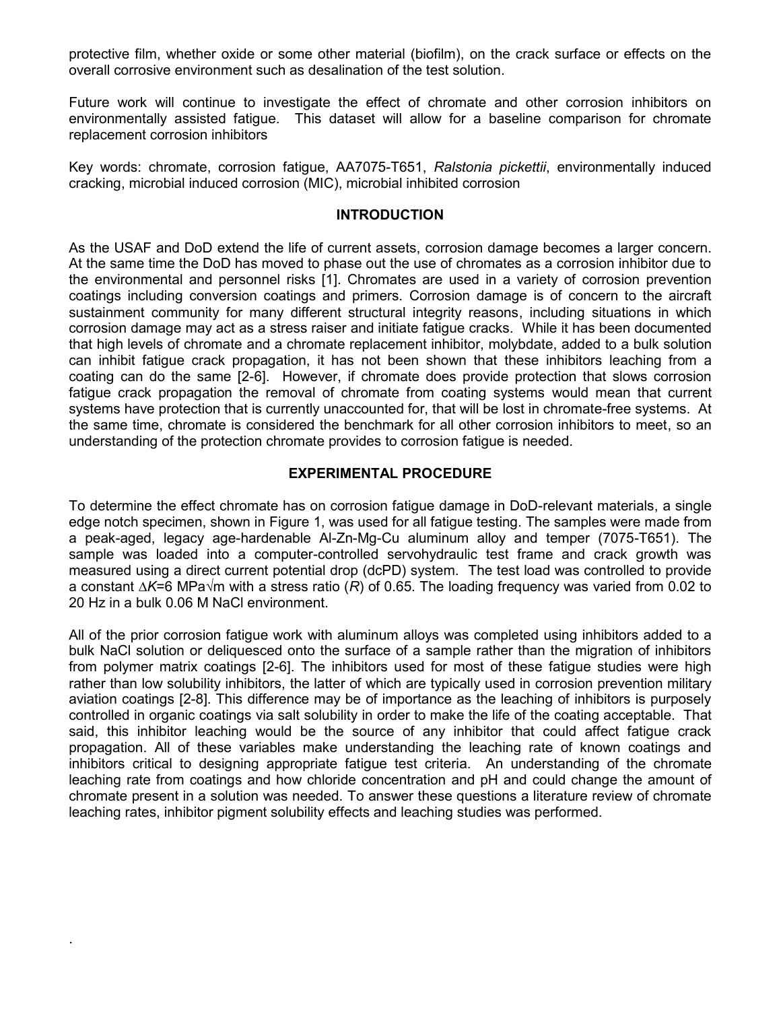protective film, whether oxide or some other material (biofilm), on the crack surface or effects on the overall corrosive environment such as desalination of the test solution.

Future work will continue to investigate the effect of chromate and other corrosion inhibitors on environmentally assisted fatigue. This dataset will allow for a baseline comparison for chromate replacement corrosion inhibitors

Key words: chromate, corrosion fatigue, AA7075-T651, *Ralstonia pickettii*, environmentally induced cracking, microbial induced corrosion (MIC), microbial inhibited corrosion

### **INTRODUCTION**

As the USAF and DoD extend the life of current assets, corrosion damage becomes a larger concern. At the same time the DoD has moved to phase out the use of chromates as a corrosion inhibitor due to the environmental and personnel risks [1]. Chromates are used in a variety of corrosion prevention coatings including conversion coatings and primers. Corrosion damage is of concern to the aircraft sustainment community for many different structural integrity reasons, including situations in which corrosion damage may act as a stress raiser and initiate fatigue cracks. While it has been documented that high levels of chromate and a chromate replacement inhibitor, molybdate, added to a bulk solution can inhibit fatigue crack propagation, it has not been shown that these inhibitors leaching from a coating can do the same [2-6]. However, if chromate does provide protection that slows corrosion fatigue crack propagation the removal of chromate from coating systems would mean that current systems have protection that is currently unaccounted for, that will be lost in chromate-free systems. At the same time, chromate is considered the benchmark for all other corrosion inhibitors to meet, so an understanding of the protection chromate provides to corrosion fatigue is needed.

## **EXPERIMENTAL PROCEDURE**

To determine the effect chromate has on corrosion fatigue damage in DoD-relevant materials, a single edge notch specimen, shown in [Figure 1,](#page-2-0) was used for all fatigue testing. The samples were made from a peak-aged, legacy age-hardenable Al-Zn-Mg-Cu aluminum alloy and temper (7075-T651). The sample was loaded into a computer-controlled servohydraulic test frame and crack growth was measured using a direct current potential drop (dcPD) system. The test load was controlled to provide a constant *∆K*=6 MPa√m with a stress ratio (*R*) of 0.65. The loading frequency was varied from 0.02 to 20 Hz in a bulk 0.06 M NaCl environment.

All of the prior corrosion fatigue work with aluminum alloys was completed using inhibitors added to a bulk NaCl solution or deliquesced onto the surface of a sample rather than the migration of inhibitors from polymer matrix coatings [2-6]. The inhibitors used for most of these fatigue studies were high rather than low solubility inhibitors, the latter of which are typically used in corrosion prevention military aviation coatings [2-8]. This difference may be of importance as the leaching of inhibitors is purposely controlled in organic coatings via salt solubility in order to make the life of the coating acceptable. That said, this inhibitor leaching would be the source of any inhibitor that could affect fatigue crack propagation. All of these variables make understanding the leaching rate of known coatings and inhibitors critical to designing appropriate fatigue test criteria. An understanding of the chromate leaching rate from coatings and how chloride concentration and pH and could change the amount of chromate present in a solution was needed. To answer these questions a literature review of chromate leaching rates, inhibitor pigment solubility effects and leaching studies was performed.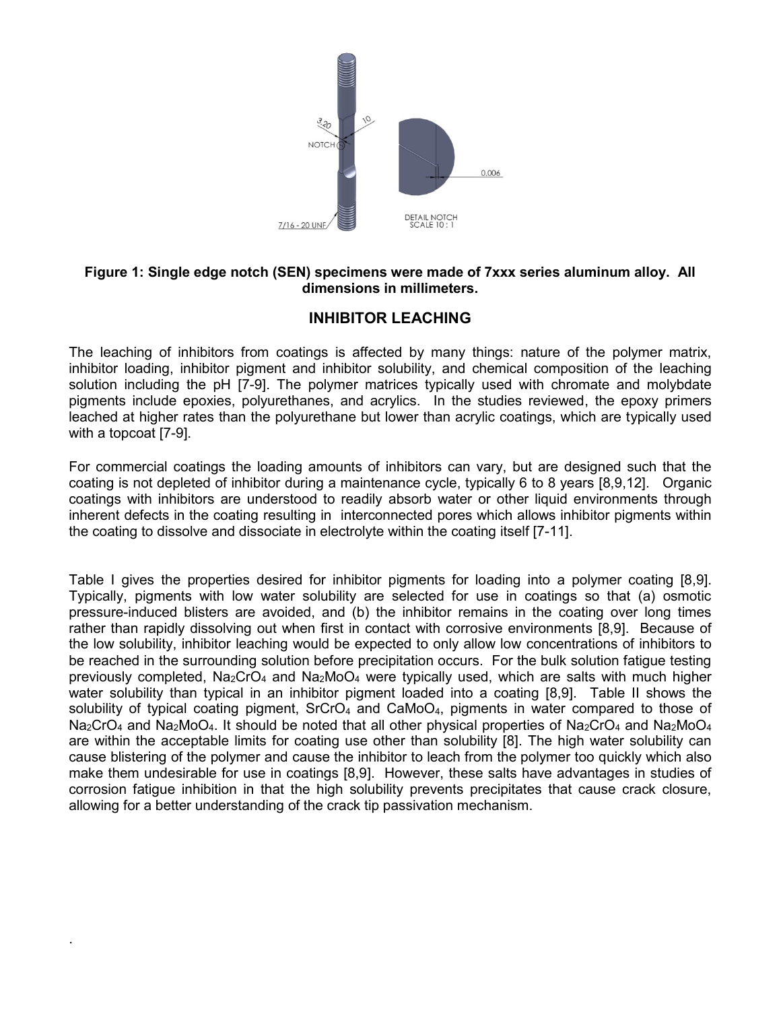

# <span id="page-2-0"></span>**Figure 1: Single edge notch (SEN) specimens were made of 7xxx series aluminum alloy. All dimensions in millimeters.**

# **INHIBITOR LEACHING**

The leaching of inhibitors from coatings is affected by many things: nature of the polymer matrix, inhibitor loading, inhibitor pigment and inhibitor solubility, and chemical composition of the leaching solution including the pH [7-9]. The polymer matrices typically used with chromate and molybdate pigments include epoxies, polyurethanes, and acrylics. In the studies reviewed, the epoxy primers leached at higher rates than the polyurethane but lower than acrylic coatings, which are typically used with a topcoat [7-9].

For commercial coatings the loading amounts of inhibitors can vary, but are designed such that the coating is not depleted of inhibitor during a maintenance cycle, typically 6 to 8 years [8,9,12]. Organic coatings with inhibitors are understood to readily absorb water or other liquid environments through inherent defects in the coating resulting in interconnected pores which allows inhibitor pigments within the coating to dissolve and dissociate in electrolyte within the coating itself [7-11].

<span id="page-2-1"></span>[Table I](#page-2-1) gives the properties desired for inhibitor pigments for loading into a polymer coating [8,9]. Typically, pigments with low water solubility are selected for use in coatings so that (a) osmotic pressure-induced blisters are avoided, and (b) the inhibitor remains in the coating over long times rather than rapidly dissolving out when first in contact with corrosive environments [8,9]. Because of the low solubility, inhibitor leaching would be expected to only allow low concentrations of inhibitors to be reached in the surrounding solution before precipitation occurs. For the bulk solution fatigue testing previously completed,  $Na_2CrO_4$  and  $Na_2MoO_4$  were typically used, which are salts with much higher water solubility than typical in an inhibitor pigment loaded into a coating [8,9]. [Table II](#page-3-0) shows the solubility of typical coating pigment,  $SrCrO<sub>4</sub>$  and  $CaMoO<sub>4</sub>$ , pigments in water compared to those of  $Na_2CrO_4$  and  $Na_2MoO_4$ . It should be noted that all other physical properties of  $Na_2CrO_4$  and  $Na_2MoO_4$ are within the acceptable limits for coating use other than solubility [8]. The high water solubility can cause blistering of the polymer and cause the inhibitor to leach from the polymer too quickly which also make them undesirable for use in coatings [8,9]. However, these salts have advantages in studies of corrosion fatigue inhibition in that the high solubility prevents precipitates that cause crack closure, allowing for a better understanding of the crack tip passivation mechanism.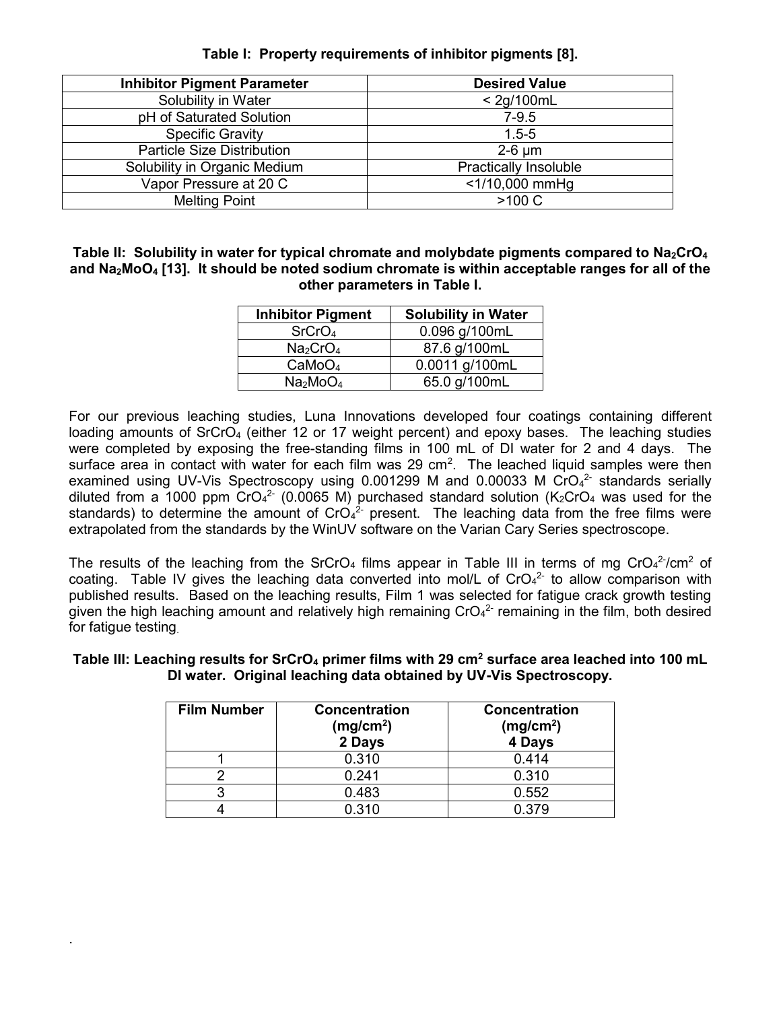| <b>Inhibitor Pigment Parameter</b> | <b>Desired Value</b>         |
|------------------------------------|------------------------------|
| Solubility in Water                | $<$ 2g/100mL                 |
| pH of Saturated Solution           | $7-9.5$                      |
| <b>Specific Gravity</b>            | $1.5 - 5$                    |
| <b>Particle Size Distribution</b>  | $2-6 \mu m$                  |
| Solubility in Organic Medium       | <b>Practically Insoluble</b> |
| Vapor Pressure at 20 C             | <1/10,000 mmHg               |
| <b>Melting Point</b>               | >100 C                       |

# **Table I: Property requirements of inhibitor pigments [8].**

<span id="page-3-0"></span>Table II: Solubility in water for typical chromate and molybdate pigments compared to Na<sub>2</sub>CrO<sub>4</sub> **and Na2MoO<sup>4</sup> [13]. It should be noted sodium chromate is within acceptable ranges for all of the other parameters in Table I.**

| <b>Inhibitor Pigment</b>         | <b>Solubility in Water</b> |
|----------------------------------|----------------------------|
| SrCrO <sub>4</sub>               | 0.096 g/100mL              |
| Na <sub>2</sub> CrO <sub>4</sub> | 87.6 g/100mL               |
| CaMoO <sub>4</sub>               | 0.0011 g/100mL             |
| Na <sub>2</sub> MoO <sub>4</sub> | 65.0 g/100mL               |

For our previous leaching studies, Luna Innovations developed four coatings containing different loading amounts of SrCrO<sub>4</sub> (either 12 or 17 weight percent) and epoxy bases. The leaching studies were completed by exposing the free-standing films in 100 mL of DI water for 2 and 4 days. The surface area in contact with water for each film was 29 cm<sup>2</sup>. The leached liquid samples were then examined using UV-Vis Spectroscopy using  $0.001299$  M and  $0.00033$  M CrO $4^2$  standards serially diluted from a 1000 ppm CrO<sub>4</sub><sup>2</sup> (0.0065 M) purchased standard solution (K<sub>2</sub>CrO<sub>4</sub> was used for the standards) to determine the amount of CrO<sub>4</sub><sup>2</sup> present. The leaching data from the free films were extrapolated from the standards by the WinUV software on the Varian Cary Series spectroscope.

The results of the leaching from the SrCrO<sub>4</sub> films appear in [Table III](#page-3-1) in terms of mg CrO<sub>4</sub><sup>2-</sup>/cm<sup>2</sup> of coating. [Table IV](#page-4-0) gives the leaching data converted into mol/L of  $CrO<sub>4</sub><sup>2</sup>$  to allow comparison with published results. Based on the leaching results, Film 1 was selected for fatigue crack growth testing given the high leaching amount and relatively high remaining  $CrO<sub>4</sub><sup>2</sup>$  remaining in the film, both desired for fatigue testing

| <b>Film Number</b> | <b>Concentration</b><br>(mg/cm <sup>2</sup> )<br>2 Days | <b>Concentration</b><br>(mg/cm <sup>2</sup> )<br>4 Days |
|--------------------|---------------------------------------------------------|---------------------------------------------------------|
|                    | 0.310                                                   | 0.414                                                   |
|                    | 0.241                                                   | 0.310                                                   |
|                    | 0.483                                                   | 0.552                                                   |
|                    | 0.310                                                   | ก ว7ด                                                   |

.

### <span id="page-3-1"></span>**Table III: Leaching results for SrCrO<sup>4</sup> primer films with 29 cm<sup>2</sup> surface area leached into 100 mL DI water. Original leaching data obtained by UV-Vis Spectroscopy.**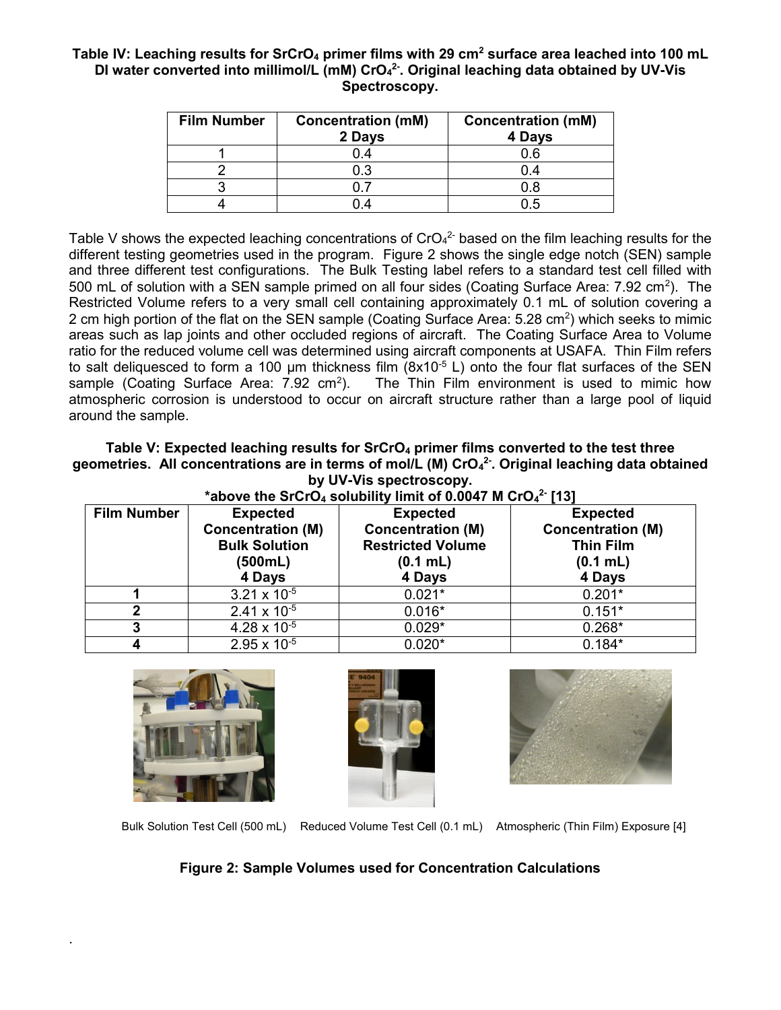## <span id="page-4-0"></span>**Table IV: Leaching results for SrCrO<sup>4</sup> primer films with 29 cm<sup>2</sup> surface area leached into 100 mL DI water converted into millimol/L (mM) CrO<sup>4</sup> 2- . Original leaching data obtained by UV-Vis Spectroscopy.**

| <b>Film Number</b> | <b>Concentration (mM)</b><br>2 Days | <b>Concentration (mM)</b><br>4 Days |
|--------------------|-------------------------------------|-------------------------------------|
|                    | 0.4                                 | 0.6                                 |
|                    | 0.3                                 | 0.4                                 |
|                    |                                     | 0.8                                 |
|                    |                                     |                                     |

[Table V](#page-4-1) shows the expected leaching concentrations of CrO $4^2$  based on the film leaching results for the different testing geometries used in the program. [Figure 2](#page-4-2) shows the single edge notch (SEN) sample and three different test configurations. The Bulk Testing label refers to a standard test cell filled with 500 mL of solution with a SEN sample primed on all four sides (Coating Surface Area:  $7.92 \text{ cm}^2$ ). The Restricted Volume refers to a very small cell containing approximately 0.1 mL of solution covering a 2 cm high portion of the flat on the SEN sample (Coating Surface Area: 5.28 cm<sup>2</sup>) which seeks to mimic areas such as lap joints and other occluded regions of aircraft. The Coating Surface Area to Volume ratio for the reduced volume cell was determined using aircraft components at USAFA. Thin Film refers to salt deliquesced to form a 100  $\mu$ m thickness film (8x10<sup>-5</sup> L) onto the four flat surfaces of the SEN sample (Coating Surface Area:  $7.92 \text{ cm}^2$ ). The Thin Film environment is used to mimic how atmospheric corrosion is understood to occur on aircraft structure rather than a large pool of liquid around the sample.

## <span id="page-4-1"></span>**Table V: Expected leaching results for SrCrO<sup>4</sup> primer films converted to the test three geometries. All concentrations are in terms of mol/L (M) CrO<sup>4</sup> 2- . Original leaching data obtained by UV-Vis spectroscopy.**

| *above the SrCrO <sub>4</sub> solubility limit of 0.0047 M CrO <sub>4</sub> <sup>2</sup> [13] |                                                       |                          |                          |  |  |  |
|-----------------------------------------------------------------------------------------------|-------------------------------------------------------|--------------------------|--------------------------|--|--|--|
| <b>Film Number</b>                                                                            | <b>Expected</b><br><b>Expected</b><br><b>Expected</b> |                          |                          |  |  |  |
|                                                                                               | <b>Concentration (M)</b>                              | <b>Concentration (M)</b> | <b>Concentration (M)</b> |  |  |  |
|                                                                                               | <b>Bulk Solution</b>                                  | <b>Restricted Volume</b> | <b>Thin Film</b>         |  |  |  |
|                                                                                               | (500mL)                                               | $(0.1$ mL)               | $(0.1$ mL)               |  |  |  |
|                                                                                               | 4 Days                                                | 4 Days                   | 4 Days                   |  |  |  |
|                                                                                               | $3.21 \times 10^{-5}$                                 | $0.021*$                 | $0.201*$                 |  |  |  |
| 2                                                                                             | $2.41 \times 10^{-5}$                                 | $0.016*$                 | $0.151*$                 |  |  |  |
| 3                                                                                             | $4.28 \times 10^{-5}$                                 | $0.029*$                 | $0.268*$                 |  |  |  |
|                                                                                               | $2.95 \times 10^{-5}$                                 | $0.020*$                 | $0.184*$                 |  |  |  |



.





<span id="page-4-2"></span>Bulk Solution Test Cell (500 mL) Reduced Volume Test Cell (0.1 mL) Atmospheric (Thin Film) Exposure [4]

# **Figure 2: Sample Volumes used for Concentration Calculations**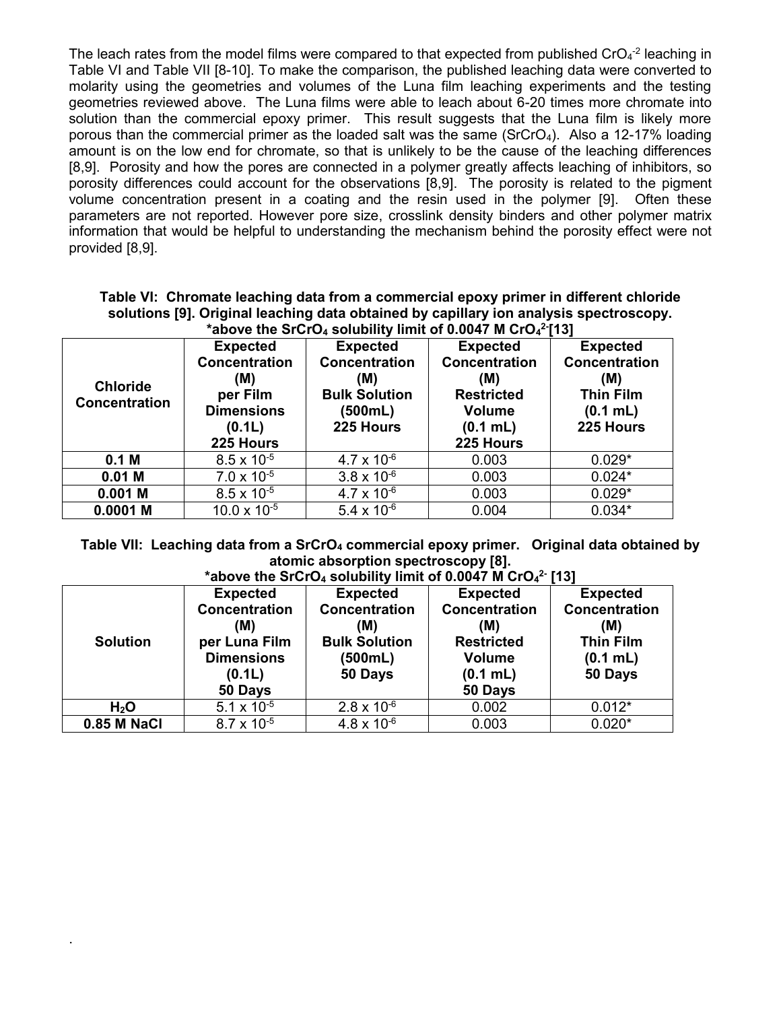The leach rates from the model films were compared to that expected from published  $CrO<sub>4</sub>$ <sup>-2</sup> leaching in [Table VI](#page-5-0) and [Table VII](#page-5-1) [8-10]. To make the comparison, the published leaching data were converted to molarity using the geometries and volumes of the Luna film leaching experiments and the testing geometries reviewed above. The Luna films were able to leach about 6-20 times more chromate into solution than the commercial epoxy primer. This result suggests that the Luna film is likely more porous than the commercial primer as the loaded salt was the same ( $SrCrO<sub>4</sub>$ ). Also a 12-17% loading amount is on the low end for chromate, so that is unlikely to be the cause of the leaching differences [8,9]. Porosity and how the pores are connected in a polymer greatly affects leaching of inhibitors, so porosity differences could account for the observations [8,9]. The porosity is related to the pigment volume concentration present in a coating and the resin used in the polymer [9]. Often these parameters are not reported. However pore size, crosslink density binders and other polymer matrix information that would be helpful to understanding the mechanism behind the porosity effect were not provided [8,9].

<span id="page-5-0"></span>**Table VI: Chromate leaching data from a commercial epoxy primer in different chloride solutions [9]. Original leaching data obtained by capillary ion analysis spectroscopy. 2-**

| *above the SrCrO <sub>4</sub> solubility limit of 0.0047 M CrO <sub>4</sub> <sup>2-</sup> [13] |                       |                      |                      |                      |
|------------------------------------------------------------------------------------------------|-----------------------|----------------------|----------------------|----------------------|
|                                                                                                | <b>Expected</b>       | <b>Expected</b>      | <b>Expected</b>      | <b>Expected</b>      |
|                                                                                                | <b>Concentration</b>  | <b>Concentration</b> | <b>Concentration</b> | <b>Concentration</b> |
|                                                                                                | (M)                   | (M)                  | (M)                  | (M)                  |
| <b>Chloride</b>                                                                                | per Film              | <b>Bulk Solution</b> | <b>Restricted</b>    | <b>Thin Film</b>     |
| Concentration                                                                                  | <b>Dimensions</b>     | (500mL)              | <b>Volume</b>        | $(0.1$ mL)           |
|                                                                                                | (0.1L)                | 225 Hours            | $(0.1$ mL)           | 225 Hours            |
|                                                                                                | 225 Hours             |                      | 225 Hours            |                      |
| 0.1 <sub>M</sub>                                                                               | $8.5 \times 10^{-5}$  | $4.7 \times 10^{-6}$ | 0.003                | $0.029*$             |
| $0.01$ M                                                                                       | $7.0 \times 10^{-5}$  | $3.8 \times 10^{-6}$ | 0.003                | $0.024*$             |
| $0.001$ M                                                                                      | $8.5 \times 10^{-5}$  | $4.7 \times 10^{-6}$ | 0.003                | $0.029*$             |
| $0.0001$ M                                                                                     | $10.0 \times 10^{-5}$ | 5.4 x $10^{-6}$      | 0.004                | $0.034*$             |

<span id="page-5-1"></span>**Table VII: Leaching data from a SrCrO<sup>4</sup> commercial epoxy primer. Original data obtained by atomic absorption spectroscopy [8].** 

| *above the SrCrO <sub>4</sub> solubility limit of 0.0047 M CrO <sub>4</sub> <sup>2</sup> [13] |                      |                      |                      |                      |
|-----------------------------------------------------------------------------------------------|----------------------|----------------------|----------------------|----------------------|
|                                                                                               | <b>Expected</b>      | <b>Expected</b>      | <b>Expected</b>      | <b>Expected</b>      |
|                                                                                               | <b>Concentration</b> | <b>Concentration</b> | <b>Concentration</b> | <b>Concentration</b> |
|                                                                                               | (M)                  | (M)                  | (M)                  | (M)                  |
| <b>Solution</b>                                                                               | per Luna Film        | <b>Bulk Solution</b> | <b>Restricted</b>    | <b>Thin Film</b>     |
|                                                                                               | <b>Dimensions</b>    | (500mL)              | <b>Volume</b>        | $(0.1$ mL)           |
|                                                                                               | (0.1L)               | 50 Days              | $(0.1$ mL)           | 50 Days              |
|                                                                                               | 50 Days              |                      | 50 Days              |                      |
| H <sub>2</sub> O                                                                              | 5.1 x $10^{-5}$      | $2.8 \times 10^{-6}$ | 0.002                | $0.012*$             |
| 0.85 M NaCl                                                                                   | $8.7 \times 10^{-5}$ | $4.8 \times 10^{-6}$ | 0.003                | $0.020*$             |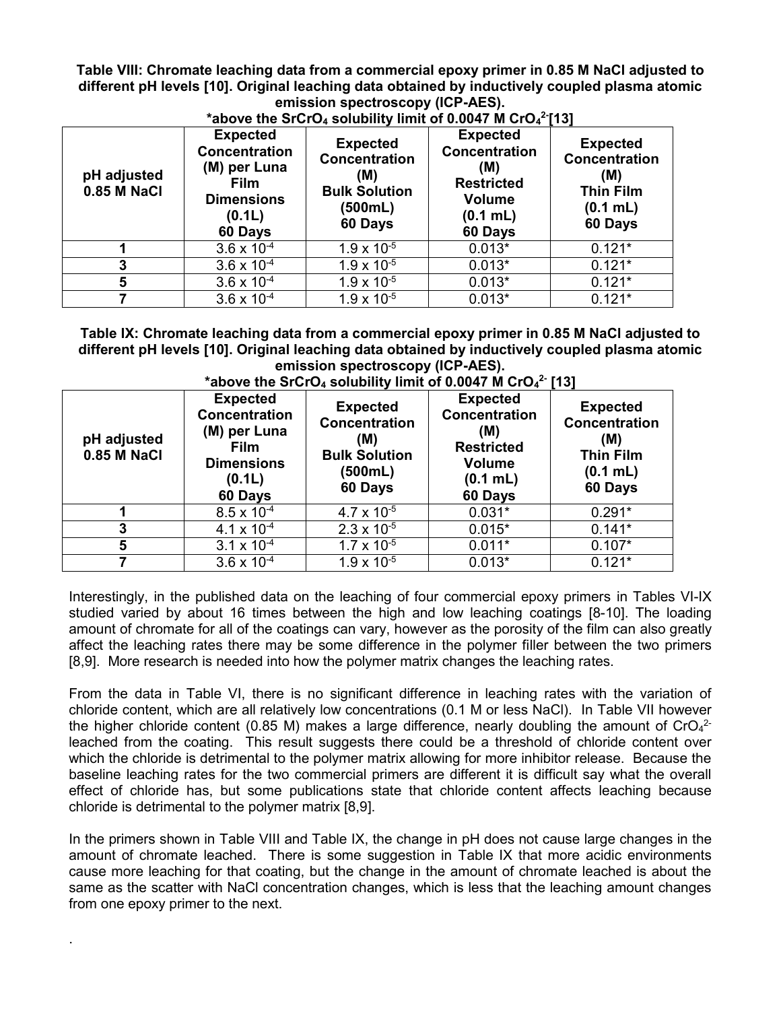<span id="page-6-0"></span>**Table VIII: Chromate leaching data from a commercial epoxy primer in 0.85 M NaCl adjusted to different pH levels [10]. Original leaching data obtained by inductively coupled plasma atomic emission spectroscopy (ICP-AES).** 

| pH adjusted<br>0.85 M NaCl | <b>Expected</b><br><b>Concentration</b><br>(M) per Luna<br><b>Film</b><br><b>Dimensions</b><br>(0.1L)<br>60 Days | <b>Expected</b><br><b>Concentration</b><br>(M)<br><b>Bulk Solution</b><br>(500mL)<br>60 Days | <b>Expected</b><br>Concentration<br>(M)<br><b>Restricted</b><br><b>Volume</b><br>$(0.1$ mL)<br>60 Days | <b>Expected</b><br><b>Concentration</b><br>(M)<br><b>Thin Film</b><br>$(0.1$ mL)<br>60 Days |
|----------------------------|------------------------------------------------------------------------------------------------------------------|----------------------------------------------------------------------------------------------|--------------------------------------------------------------------------------------------------------|---------------------------------------------------------------------------------------------|
|                            | $3.6 \times 10^{-4}$                                                                                             | $1.9 \times 10^{-5}$                                                                         | $0.013*$                                                                                               | $0.121*$                                                                                    |
| 3                          | $3.6 \times 10^{-4}$                                                                                             | $1.9 \times 10^{-5}$                                                                         | $0.013*$                                                                                               | $0.121*$                                                                                    |
| 5                          | $3.6 \times 10^{-4}$                                                                                             | $1.9 \times 10^{-5}$                                                                         | $0.013*$                                                                                               | $0.121*$                                                                                    |
|                            | $3.6 \times 10^{-4}$                                                                                             | $1.9 \times 10^{-5}$                                                                         | $0.013*$                                                                                               | $0.121*$                                                                                    |

# **\*above the SrCrO<sup>4</sup> solubility limit of 0.0047 M CrO<sup>4</sup> 2- [13]**

<span id="page-6-1"></span>**Table IX: Chromate leaching data from a commercial epoxy primer in 0.85 M NaCl adjusted to different pH levels [10]. Original leaching data obtained by inductively coupled plasma atomic emission spectroscopy (ICP-AES).**

| pH adjusted<br>0.85 M NaCl | <b>Expected</b><br><b>Concentration</b><br>(M) per Luna<br><b>Film</b><br><b>Dimensions</b><br>(0.1L)<br>60 Days | <b>Expected</b><br>Concentration<br>(M)<br><b>Bulk Solution</b><br>(500mL)<br>60 Days | <b>Expected</b><br><b>Concentration</b><br>(M)<br><b>Restricted</b><br><b>Volume</b><br>(0.1 mL)<br>60 Days | <b>Expected</b><br><b>Concentration</b><br>(M)<br><b>Thin Film</b><br>$(0.1$ mL)<br>60 Days |
|----------------------------|------------------------------------------------------------------------------------------------------------------|---------------------------------------------------------------------------------------|-------------------------------------------------------------------------------------------------------------|---------------------------------------------------------------------------------------------|
|                            | $8.5 \times 10^{-4}$                                                                                             | $4.7 \times 10^{-5}$                                                                  | $0.031*$                                                                                                    | $0.291*$                                                                                    |
| 3                          | 4.1 x $10^{-4}$                                                                                                  | $2.3 \times 10^{-5}$                                                                  | $0.015*$                                                                                                    | $0.141*$                                                                                    |
| 5                          | $3.1 \times 10^{-4}$                                                                                             | $1.7 \times 10^{-5}$                                                                  | $0.011*$                                                                                                    | $0.107*$                                                                                    |
|                            | $3.6 \times 10^{-4}$                                                                                             | $1.9 \times 10^{-5}$                                                                  | $0.013*$                                                                                                    | $0.121*$                                                                                    |

# **\*above the SrCrO<sup>4</sup> solubility limit of 0.0047 M CrO<sup>4</sup> 2- [13]**

Interestingly, in the published data on the leaching of four commercial epoxy primers in Tables VI-IX studied varied by about 16 times between the high and low leaching coatings [8-10]. The loading amount of chromate for all of the coatings can vary, however as the porosity of the film can also greatly affect the leaching rates there may be some difference in the polymer filler between the two primers [8,9]. More research is needed into how the polymer matrix changes the leaching rates.

From the data in [Table VI,](#page-5-0) there is no significant difference in leaching rates with the variation of chloride content, which are all relatively low concentrations (0.1 M or less NaCl). In [Table VII](#page-5-1) however the higher chloride content (0.85 M) makes a large difference, nearly doubling the amount of CrO<sub>4</sub><sup>2-</sup> leached from the coating. This result suggests there could be a threshold of chloride content over which the chloride is detrimental to the polymer matrix allowing for more inhibitor release. Because the baseline leaching rates for the two commercial primers are different it is difficult say what the overall effect of chloride has, but some publications state that chloride content affects leaching because chloride is detrimental to the polymer matrix [8,9].

In the primers shown in [Table VIII](#page-6-0) and [Table IX,](#page-6-1) the change in pH does not cause large changes in the amount of chromate leached. There is some suggestion in [Table IX](#page-6-1) that more acidic environments cause more leaching for that coating, but the change in the amount of chromate leached is about the same as the scatter with NaCl concentration changes, which is less that the leaching amount changes from one epoxy primer to the next.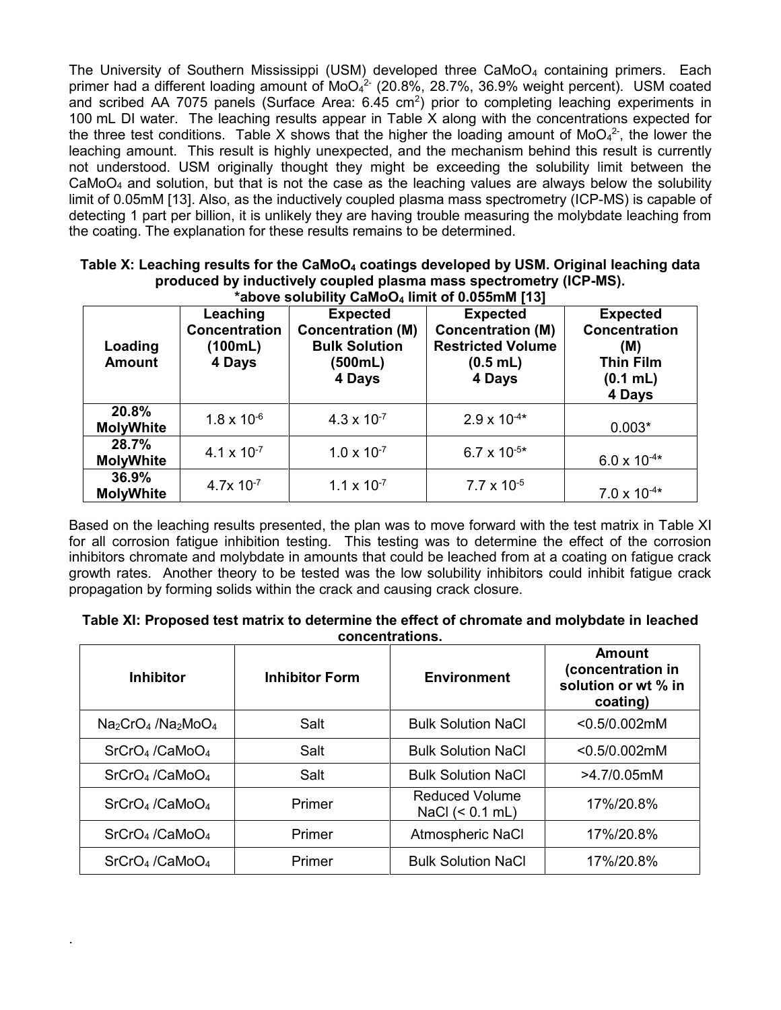The University of Southern Mississippi (USM) developed three CaMoO<sup>4</sup> containing primers. Each primer had a different loading amount of MoO<sub>4</sub><sup>2-</sup> (20.8%, 28.7%, 36.9% weight percent). USM coated and scribed AA 7075 panels (Surface Area:  $6.45 \text{ cm}^2$ ) prior to completing leaching experiments in 100 mL DI water. The leaching results appear in [Table X](#page-7-0) along with the concentrations expected for the three test conditions. [Table X](#page-7-0) shows that the higher the loading amount of MoO<sub>4</sub><sup>2-</sup>, the lower the leaching amount. This result is highly unexpected, and the mechanism behind this result is currently not understood. USM originally thought they might be exceeding the solubility limit between the  $CaMoO<sub>4</sub>$  and solution, but that is not the case as the leaching values are always below the solubility limit of 0.05mM [13]. Also, as the inductively coupled plasma mass spectrometry (ICP-MS) is capable of detecting 1 part per billion, it is unlikely they are having trouble measuring the molybdate leaching from the coating. The explanation for these results remains to be determined.

| *above solubility CaMoO <sub>4</sub> limit of 0.055mM [13] |                                                       |                                                                                          |                                                                                                 |                                                                                          |
|------------------------------------------------------------|-------------------------------------------------------|------------------------------------------------------------------------------------------|-------------------------------------------------------------------------------------------------|------------------------------------------------------------------------------------------|
| Loading<br><b>Amount</b>                                   | Leaching<br><b>Concentration</b><br>(100mL)<br>4 Days | <b>Expected</b><br><b>Concentration (M)</b><br><b>Bulk Solution</b><br>(500mL)<br>4 Days | <b>Expected</b><br><b>Concentration (M)</b><br><b>Restricted Volume</b><br>$(0.5$ mL)<br>4 Days | <b>Expected</b><br><b>Concentration</b><br>(M)<br><b>Thin Film</b><br>(0.1 mL)<br>4 Days |
| 20.8%<br><b>MolyWhite</b>                                  | $1.8 \times 10^{-6}$                                  | $4.3 \times 10^{-7}$                                                                     | $2.9 \times 10^{-4*}$                                                                           | $0.003*$                                                                                 |
| 28.7%<br><b>MolyWhite</b>                                  | 4.1 $\times$ 10 <sup>-7</sup>                         | $1.0 \times 10^{-7}$                                                                     | $6.7 \times 10^{-5*}$                                                                           | $6.0 \times 10^{-4*}$                                                                    |
| 36.9%<br><b>MolyWhite</b>                                  | $4.7x$ 10 <sup>-7</sup>                               | $1.1 \times 10^{-7}$                                                                     | $7.7 \times 10^{-5}$                                                                            | $7.0 \times 10^{-4*}$                                                                    |

# <span id="page-7-0"></span>**Table X: Leaching results for the CaMoO<sup>4</sup> coatings developed by USM. Original leaching data produced by inductively coupled plasma mass spectrometry (ICP-MS).**

Based on the leaching results presented, the plan was to move forward with the test matrix in [Table XI](#page-7-1) for all corrosion fatigue inhibition testing. This testing was to determine the effect of the corrosion inhibitors chromate and molybdate in amounts that could be leached from at a coating on fatigue crack growth rates. Another theory to be tested was the low solubility inhibitors could inhibit fatigue crack propagation by forming solids within the crack and causing crack closure.

<span id="page-7-1"></span>

| Table XI: Proposed test matrix to determine the effect of chromate and molybdate in leached |
|---------------------------------------------------------------------------------------------|
| concentrations.                                                                             |

| <b>Inhibitor</b>                            | <b>Inhibitor Form</b> | <b>Environment</b>                         | <b>Amount</b><br>(concentration in<br>solution or wt % in<br>coating) |
|---------------------------------------------|-----------------------|--------------------------------------------|-----------------------------------------------------------------------|
| $Na2CrO4$ /Na <sub>2</sub> MoO <sub>4</sub> | Salt                  | <b>Bulk Solution NaCl</b>                  | $< 0.5/0.002$ mM                                                      |
| $SrCrO4$ /CaMo $O4$                         | Salt                  | <b>Bulk Solution NaCl</b>                  | $< 0.5/0.002$ mM                                                      |
| $SrCrO4$ /CaMo $O4$                         | Salt                  | <b>Bulk Solution NaCl</b>                  | >4.7/0.05mM                                                           |
| $SrCrO4$ /CaMo $O4$                         | Primer                | <b>Reduced Volume</b><br>NaCl $(< 0.1$ mL) | 17%/20.8%                                                             |
| SrCrO <sub>4</sub> /CaMoO <sub>4</sub>      | Primer                | Atmospheric NaCl                           | 17%/20.8%                                                             |
| $SrCrO4$ /CaMo $O4$                         | Primer                | <b>Bulk Solution NaCl</b>                  | 17%/20.8%                                                             |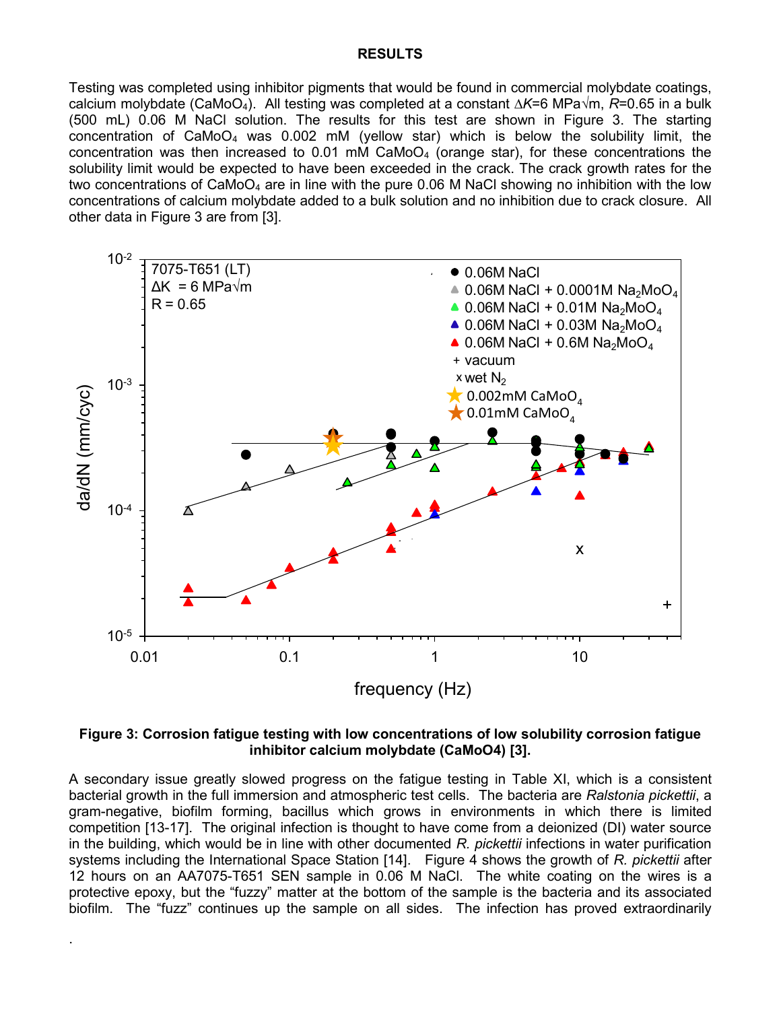#### **RESULTS**

Testing was completed using inhibitor pigments that would be found in commercial molybdate coatings, calcium molybdate (CaMoO4). All testing was completed at a constant *∆K*=6 MPa√m, *R*=0.65 in a bulk (500 mL) 0.06 M NaCl solution. The results for this test are shown in [Figure 3.](#page-8-0) The starting concentration of CaMoO<sub>4</sub> was 0.002 mM (yellow star) which is below the solubility limit, the concentration was then increased to 0.01 mM CaMoO<sub>4</sub> (orange star), for these concentrations the solubility limit would be expected to have been exceeded in the crack. The crack growth rates for the two concentrations of  $CaM_0O_4$  are in line with the pure 0.06 M NaCl showing no inhibition with the low concentrations of calcium molybdate added to a bulk solution and no inhibition due to crack closure. All other data in Figure 3 are from [3].



#### <span id="page-8-0"></span>**Figure 3: Corrosion fatigue testing with low concentrations of low solubility corrosion fatigue**  inhibitor calcium molybdate (CaMoO4) [3].  $\overline{a}$  and  $\overline{a}$   $\overline{a}$  and  $\overline{a}$   $\overline{a}$  and  $\overline{a}$ 0.000 million of the usual international international international international international international<br>Model of the usual international international international international international international interna

A secondary issue greatly slowed progress on the fatigue testing in [Table XI,](#page-7-1) which is a consistent bacterial growth in the full immersion and atmospheric test cells. The bacteria are *Ralstonia pickettii*, a gram-negative, biofilm forming, bacillus which grows in environments in which there is limited competition [13-17]. The original infection is thought to have come from a deionized (DI) water source competition [13-17]. The original infection is thought to have come from a deformed (DI) water source<br>in the building, which would be in line with other documented *R. pickettii* infections in water purification systems including the International Space Station [14]. Figure 4 shows the growth of *R. pickettii* after 12 hours on an AA7075-T651 SEN sample in 0.06 M NaCl. The white coating on the wires is a protective epoxy, but the "fuzzy" matter at the bottom of the sample is the bacteria and its associated biofilm. The "fuzz" continues up the sample on all sides. The infection has proved extraordinarily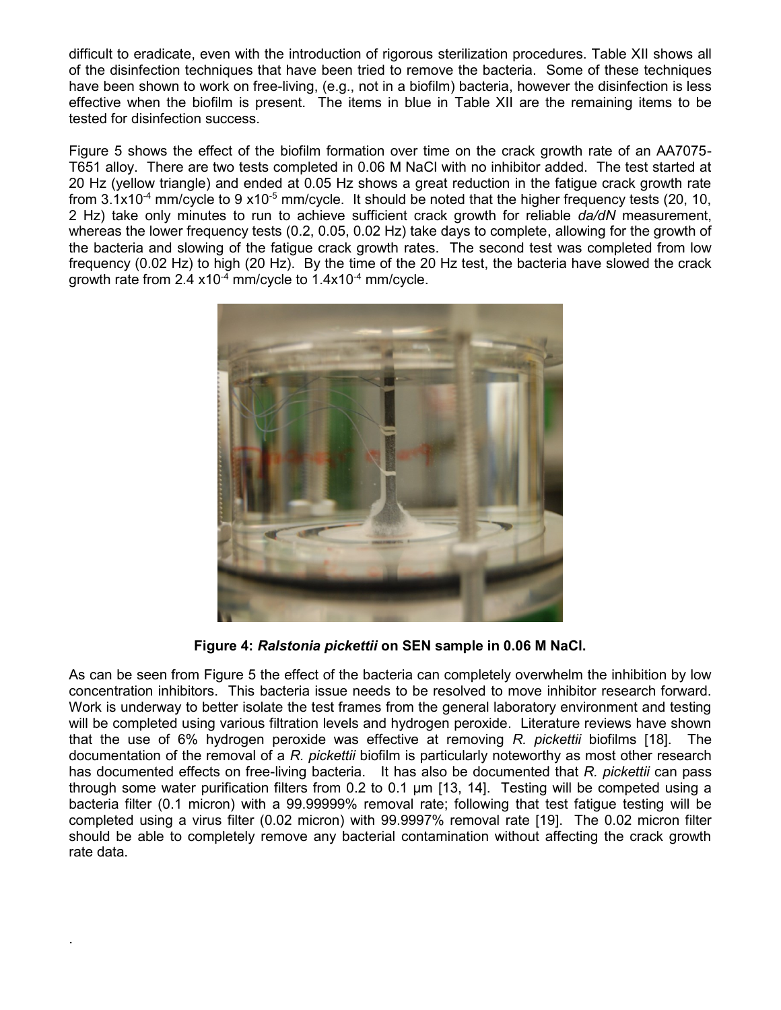difficult to eradicate, even with the introduction of rigorous sterilization procedures. [Table XII](#page-10-0) shows all of the disinfection techniques that have been tried to remove the bacteria. Some of these techniques have been shown to work on free-living, (e.g., not in a biofilm) bacteria, however the disinfection is less effective when the biofilm is present. The items in blue in [Table XII](#page-10-0) are the remaining items to be tested for disinfection success.

[Figure 5](#page-10-1) shows the effect of the biofilm formation over time on the crack growth rate of an AA7075- T651 alloy. There are two tests completed in 0.06 M NaCl with no inhibitor added. The test started at 20 Hz (yellow triangle) and ended at 0.05 Hz shows a great reduction in the fatigue crack growth rate from  $3.1x10^{-4}$  mm/cycle to 9  $x10^{-5}$  mm/cycle. It should be noted that the higher frequency tests (20, 10, 2 Hz) take only minutes to run to achieve sufficient crack growth for reliable *da/dN* measurement, whereas the lower frequency tests (0.2, 0.05, 0.02 Hz) take days to complete, allowing for the growth of the bacteria and slowing of the fatigue crack growth rates. The second test was completed from low frequency (0.02 Hz) to high (20 Hz). By the time of the 20 Hz test, the bacteria have slowed the crack growth rate from 2.4  $x10^{-4}$  mm/cycle to 1.4 $x10^{-4}$  mm/cycle.



**Figure 4:** *Ralstonia pickettii* **on SEN sample in 0.06 M NaCl.**

<span id="page-9-0"></span>As can be seen from [Figure 5](#page-10-1) the effect of the bacteria can completely overwhelm the inhibition by low concentration inhibitors. This bacteria issue needs to be resolved to move inhibitor research forward. Work is underway to better isolate the test frames from the general laboratory environment and testing will be completed using various filtration levels and hydrogen peroxide. Literature reviews have shown that the use of 6% hydrogen peroxide was effective at removing *R. pickettii* biofilms [18]. The documentation of the removal of a *R. pickettii* biofilm is particularly noteworthy as most other research has documented effects on free-living bacteria. It has also be documented that *R. pickettii* can pass through some water purification filters from 0.2 to 0.1 um [13, 14]. Testing will be competed using a bacteria filter (0.1 micron) with a 99.99999% removal rate; following that test fatigue testing will be completed using a virus filter (0.02 micron) with 99.9997% removal rate [19]. The 0.02 micron filter should be able to completely remove any bacterial contamination without affecting the crack growth rate data.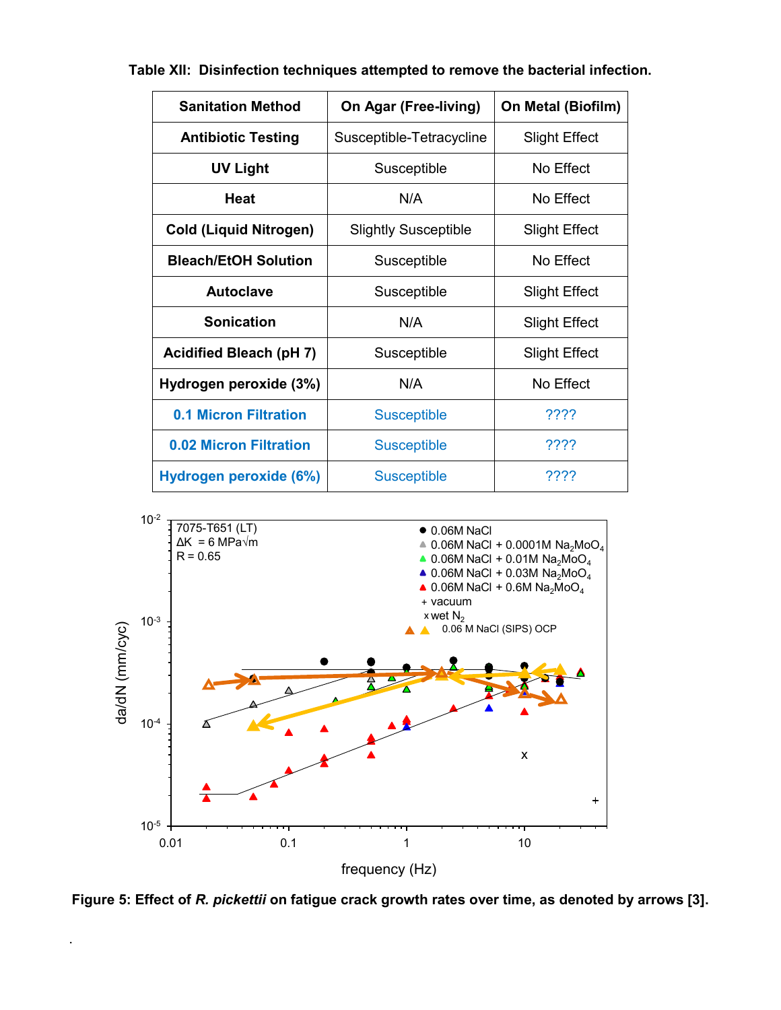| <b>Sanitation Method</b>       | On Agar (Free-living)       | On Metal (Biofilm)   |
|--------------------------------|-----------------------------|----------------------|
| <b>Antibiotic Testing</b>      | Susceptible-Tetracycline    | <b>Slight Effect</b> |
| <b>UV Light</b>                | Susceptible                 | No Effect            |
| Heat                           | N/A                         | No Effect            |
| <b>Cold (Liquid Nitrogen)</b>  | <b>Slightly Susceptible</b> | <b>Slight Effect</b> |
| <b>Bleach/EtOH Solution</b>    | Susceptible                 | No Effect            |
| <b>Autoclave</b>               | Susceptible                 | <b>Slight Effect</b> |
| <b>Sonication</b>              | N/A                         | <b>Slight Effect</b> |
| <b>Acidified Bleach (pH 7)</b> | Susceptible                 | <b>Slight Effect</b> |
| Hydrogen peroxide (3%)         | N/A                         | No Effect            |
| <b>0.1 Micron Filtration</b>   | <b>Susceptible</b>          | ????                 |
| <b>0.02 Micron Filtration</b>  | <b>Susceptible</b>          | ????                 |
| Hydrogen peroxide (6%)         | <b>Susceptible</b>          | ????                 |

<span id="page-10-0"></span>**Table XII: Disinfection techniques attempted to remove the bacterial infection.**



<span id="page-10-1"></span>Figure 5: Effect of *R. pickettii* on fatigue crack growth rates over time, as denoted by arrows [3].  $\overline{\phantom{a}}$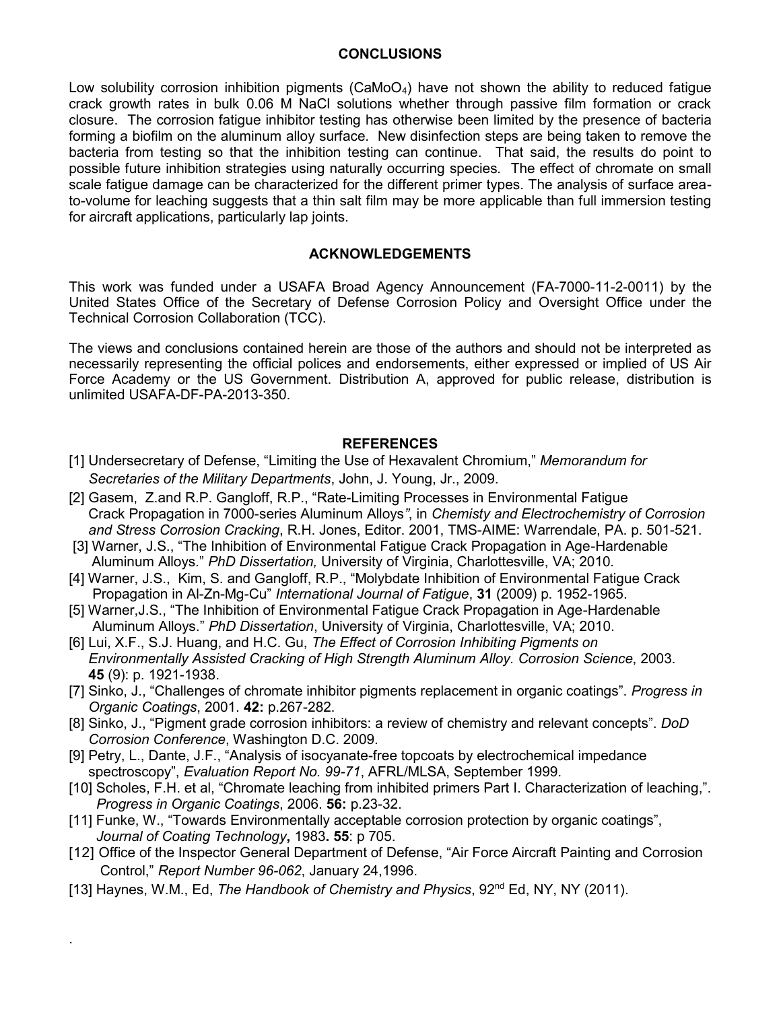### **CONCLUSIONS**

Low solubility corrosion inhibition pigments ( $CaMoO<sub>4</sub>$ ) have not shown the ability to reduced fatigue crack growth rates in bulk 0.06 M NaCl solutions whether through passive film formation or crack closure. The corrosion fatigue inhibitor testing has otherwise been limited by the presence of bacteria forming a biofilm on the aluminum alloy surface. New disinfection steps are being taken to remove the bacteria from testing so that the inhibition testing can continue. That said, the results do point to possible future inhibition strategies using naturally occurring species. The effect of chromate on small scale fatigue damage can be characterized for the different primer types. The analysis of surface areato-volume for leaching suggests that a thin salt film may be more applicable than full immersion testing for aircraft applications, particularly lap joints.

# **ACKNOWLEDGEMENTS**

This work was funded under a USAFA Broad Agency Announcement (FA-7000-11-2-0011) by the United States Office of the Secretary of Defense Corrosion Policy and Oversight Office under the Technical Corrosion Collaboration (TCC).

The views and conclusions contained herein are those of the authors and should not be interpreted as necessarily representing the official polices and endorsements, either expressed or implied of US Air Force Academy or the US Government. Distribution A, approved for public release, distribution is unlimited USAFA-DF-PA-2013-350.

# **REFERENCES**

- [1] Undersecretary of Defense, "Limiting the Use of Hexavalent Chromium," *Memorandum for Secretaries of the Military Departments*, John, J. Young, Jr., 2009.
- [2] Gasem, Z.and R.P. Gangloff, R.P., "Rate-Limiting Processes in Environmental Fatigue Crack Propagation in 7000-series Aluminum Alloys*"*, in *Chemisty and Electrochemistry of Corrosion and Stress Corrosion Cracking*, R.H. Jones, Editor. 2001, TMS-AIME: Warrendale, PA. p. 501-521.
- [3] Warner, J.S., "The Inhibition of Environmental Fatigue Crack Propagation in Age-Hardenable Aluminum Alloys." *PhD Dissertation,* University of Virginia, Charlottesville, VA; 2010.
- [4] Warner, J.S., Kim, S. and Gangloff, R.P., "Molybdate Inhibition of Environmental Fatigue Crack Propagation in Al-Zn-Mg-Cu" *International Journal of Fatigue*, **31** (2009) p. 1952-1965.
- [5] Warner,J.S., "The Inhibition of Environmental Fatigue Crack Propagation in Age-Hardenable Aluminum Alloys." *PhD Dissertation*, University of Virginia, Charlottesville, VA; 2010.
- [6] Lui, X.F., S.J. Huang, and H.C. Gu, *The Effect of Corrosion Inhibiting Pigments on Environmentally Assisted Cracking of High Strength Aluminum Alloy. Corrosion Science*, 2003. **45** (9): p. 1921-1938.
- [7] Sinko, J., "Challenges of chromate inhibitor pigments replacement in organic coatings". *Progress in Organic Coatings*, 2001. **42:** p.267-282.
- [8] Sinko, J., "Pigment grade corrosion inhibitors: a review of chemistry and relevant concepts". *DoD Corrosion Conference*, Washington D.C. 2009.
- [9] Petry, L., Dante, J.F., "Analysis of isocyanate-free topcoats by electrochemical impedance spectroscopy", *Evaluation Report No. 99-71*, AFRL/MLSA, September 1999.
- [10] Scholes, F.H. et al, "Chromate leaching from inhibited primers Part I. Characterization of leaching,". *Progress in Organic Coatings*, 2006. **56:** p.23-32.
- [11] Funke, W., "Towards Environmentally acceptable corrosion protection by organic coatings", *Journal of Coating Technology***,** 1983**. 55**: p 705.
- [12] Office of the Inspector General Department of Defense, "Air Force Aircraft Painting and Corrosion Control," *Report Number 96-062*, January 24,1996.
- [13] Haynes, W.M., Ed, *The Handbook of Chemistry and Physics*, 92<sup>nd</sup> Ed, NY, NY (2011).